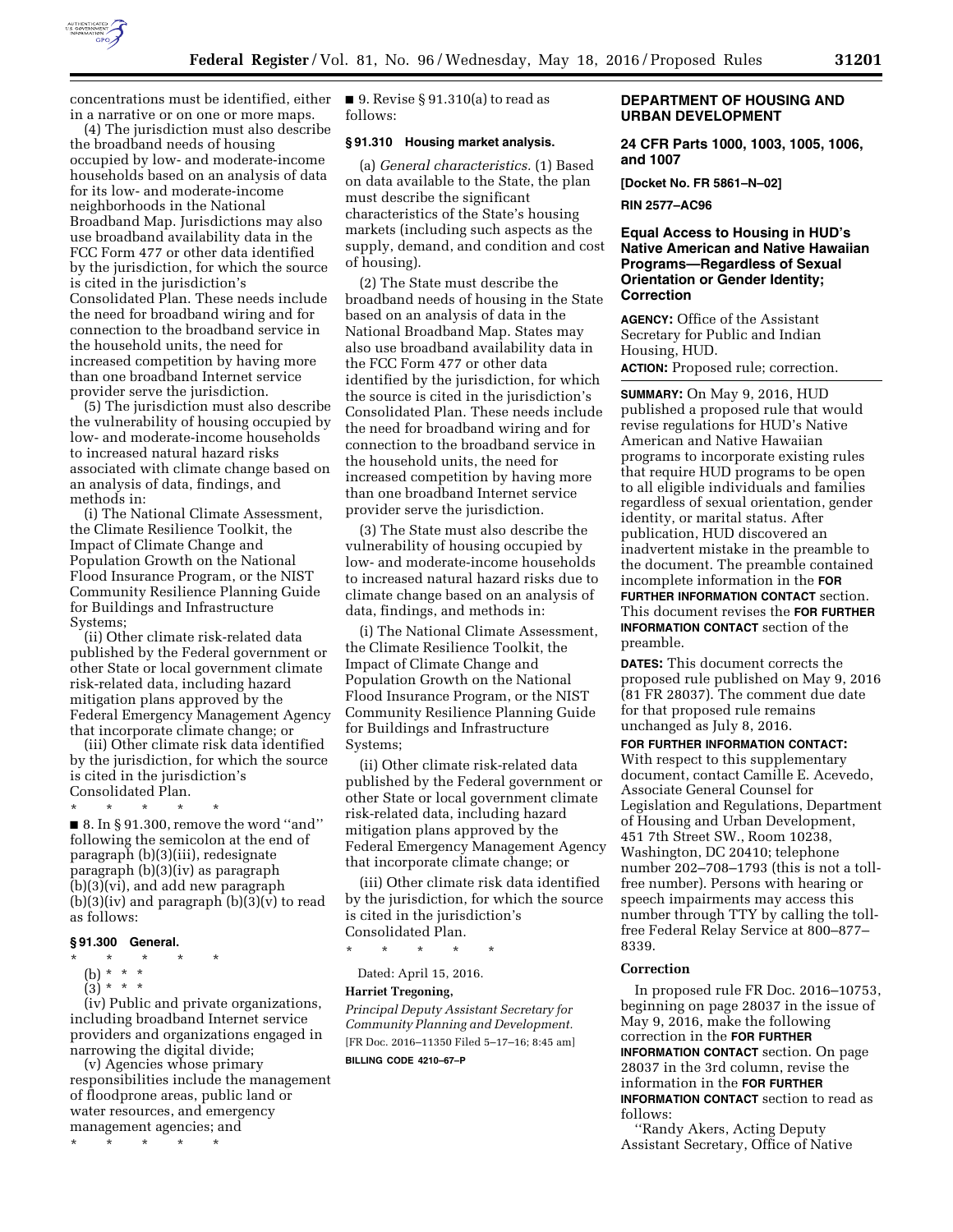

concentrations must be identified, either in a narrative or on one or more maps.

(4) The jurisdiction must also describe the broadband needs of housing occupied by low- and moderate-income households based on an analysis of data for its low- and moderate-income neighborhoods in the National Broadband Map. Jurisdictions may also use broadband availability data in the FCC Form 477 or other data identified by the jurisdiction, for which the source is cited in the jurisdiction's Consolidated Plan. These needs include the need for broadband wiring and for connection to the broadband service in the household units, the need for increased competition by having more than one broadband Internet service provider serve the jurisdiction.

(5) The jurisdiction must also describe the vulnerability of housing occupied by low- and moderate-income households to increased natural hazard risks associated with climate change based on an analysis of data, findings, and methods in:

(i) The National Climate Assessment, the Climate Resilience Toolkit, the Impact of Climate Change and Population Growth on the National Flood Insurance Program, or the NIST Community Resilience Planning Guide for Buildings and Infrastructure Systems;

(ii) Other climate risk-related data published by the Federal government or other State or local government climate risk-related data, including hazard mitigation plans approved by the Federal Emergency Management Agency that incorporate climate change; or

(iii) Other climate risk data identified by the jurisdiction, for which the source is cited in the jurisdiction's Consolidated Plan.

\* \* \* \* \*  $\blacksquare$  8. In § 91.300, remove the word "and" following the semicolon at the end of paragraph (b)(3)(iii), redesignate paragraph (b)(3)(iv) as paragraph (b)(3)(vi), and add new paragraph  $(b)(3)(iv)$  and paragraph  $(b)(3)(v)$  to read as follows:

## **§ 91.300 General.**

\* \* \* \* \*

- (b) \* \* \*
- $(3)^*$  \* \*

(iv) Public and private organizations, including broadband Internet service providers and organizations engaged in narrowing the digital divide;

(v) Agencies whose primary responsibilities include the management of floodprone areas, public land or water resources, and emergency management agencies; and

\* \* \* \* \*

■ 9. Revise § 91.310(a) to read as follows:

#### **§ 91.310 Housing market analysis.**

(a) *General characteristics.* (1) Based on data available to the State, the plan must describe the significant characteristics of the State's housing markets (including such aspects as the supply, demand, and condition and cost of housing).

(2) The State must describe the broadband needs of housing in the State based on an analysis of data in the National Broadband Map. States may also use broadband availability data in the FCC Form 477 or other data identified by the jurisdiction, for which the source is cited in the jurisdiction's Consolidated Plan. These needs include the need for broadband wiring and for connection to the broadband service in the household units, the need for increased competition by having more than one broadband Internet service provider serve the jurisdiction.

(3) The State must also describe the vulnerability of housing occupied by low- and moderate-income households to increased natural hazard risks due to climate change based on an analysis of data, findings, and methods in:

(i) The National Climate Assessment, the Climate Resilience Toolkit, the Impact of Climate Change and Population Growth on the National Flood Insurance Program, or the NIST Community Resilience Planning Guide for Buildings and Infrastructure Systems;

(ii) Other climate risk-related data published by the Federal government or other State or local government climate risk-related data, including hazard mitigation plans approved by the Federal Emergency Management Agency that incorporate climate change; or

(iii) Other climate risk data identified by the jurisdiction, for which the source is cited in the jurisdiction's Consolidated Plan.

\* \* \* \* \*

Dated: April 15, 2016.

#### **Harriet Tregoning,**

*Principal Deputy Assistant Secretary for Community Planning and Development.*  [FR Doc. 2016–11350 Filed 5–17–16; 8:45 am] **BILLING CODE 4210–67–P** 

#### **DEPARTMENT OF HOUSING AND URBAN DEVELOPMENT**

**24 CFR Parts 1000, 1003, 1005, 1006, and 1007** 

**[Docket No. FR 5861–N–02]** 

**RIN 2577–AC96** 

### **Equal Access to Housing in HUD's Native American and Native Hawaiian Programs—Regardless of Sexual Orientation or Gender Identity; Correction**

**AGENCY:** Office of the Assistant Secretary for Public and Indian Housing, HUD. **ACTION:** Proposed rule; correction.

**SUMMARY:** On May 9, 2016, HUD published a proposed rule that would revise regulations for HUD's Native American and Native Hawaiian programs to incorporate existing rules that require HUD programs to be open to all eligible individuals and families regardless of sexual orientation, gender identity, or marital status. After publication, HUD discovered an inadvertent mistake in the preamble to the document. The preamble contained incomplete information in the **FOR FURTHER INFORMATION CONTACT** section. This document revises the **FOR FURTHER INFORMATION CONTACT** section of the preamble.

**DATES:** This document corrects the proposed rule published on May 9, 2016 (81 FR 28037). The comment due date for that proposed rule remains unchanged as July 8, 2016.

#### **FOR FURTHER INFORMATION CONTACT:**

With respect to this supplementary document, contact Camille E. Acevedo, Associate General Counsel for Legislation and Regulations, Department of Housing and Urban Development, 451 7th Street SW., Room 10238, Washington, DC 20410; telephone number 202–708–1793 (this is not a tollfree number). Persons with hearing or speech impairments may access this number through TTY by calling the tollfree Federal Relay Service at 800–877– 8339.

#### **Correction**

In proposed rule FR Doc. 2016–10753, beginning on page 28037 in the issue of May 9, 2016, make the following correction in the **FOR FURTHER INFORMATION CONTACT** section. On page 28037 in the 3rd column, revise the information in the **FOR FURTHER INFORMATION CONTACT** section to read as follows:

''Randy Akers, Acting Deputy Assistant Secretary, Office of Native